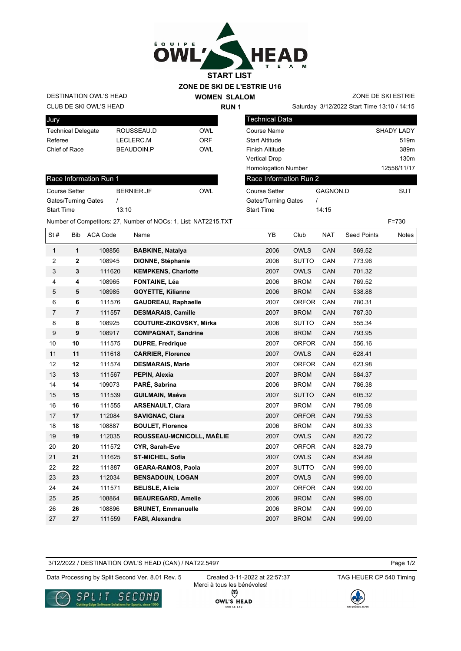

## **ZONE DE SKI DE L'ESTRIE U16**

CLUB DE SKI OWL'S HEAD DESTINATION OWL'S HEAD

Start Time 13:10

| Jury               |                   |     |
|--------------------|-------------------|-----|
| Technical Delegate | ROUSSEAU D        | OWI |
| Referee            | LECLERC.M         | ORF |
| Chief of Race      | <b>BEAUDOIN.P</b> | OWI |

| Race Information Run 1     |            |     |  |  |  |
|----------------------------|------------|-----|--|--|--|
| Course Setter              | BERNIER.JF | OWI |  |  |  |
| <b>Gates/Turning Gates</b> |            |     |  |  |  |

**WOMEN SLALOM RUN 1**

ZONE DE SKI ESTRIE

| <b>Technical Data</b>      |                 |                   |
|----------------------------|-----------------|-------------------|
| Course Name                |                 | <b>SHADY LADY</b> |
| <b>Start Altitude</b>      |                 | 519m              |
| <b>Finish Altitude</b>     |                 | 389m              |
| <b>Vertical Drop</b>       |                 | 130m              |
| <b>Homologation Number</b> |                 | 12556/11/17       |
| Race Information Run 2     |                 |                   |
| Course Setter              | <b>GAGNON.D</b> | SUT               |
| Gates/Turning Gates        |                 |                   |
| <b>Start Time</b>          | 14:15           |                   |

Number of Competitors: 27, Number of NOCs: 1, List: NAT2215.TXT F=730 St # Bib ACA Code Name  $YB$  Club NAT Seed Points Notes  **1** 108856 **BABKINE, Natalya** 2006 OWLS CAN 569.52  **2** 108945 **DIONNE, Stéphanie** 2006 SUTTO CAN 773.96  **3** 111620 **KEMPKENS, Charlotte** 2007 OWLS CAN 701.32  **4** 108965 **FONTAINE, Léa** 2006 BROM CAN 769.52  **5** 108985 **GOYETTE, Kilianne** 2006 BROM CAN 538.88  **6** 111576 **GAUDREAU, Raphaelle** 2007 ORFOR CAN 780.31  **7** 111557 **DESMARAIS, Camille** 2007 BROM CAN 787.30  **8** 108925 **COUTURE-ZIKOVSKY, Mirka** 2006 SUTTO CAN 555.34  **9** 108917 **COMPAGNAT, Sandrine** 2006 BROM CAN 793.95  **10** 111575 **DUPRE, Fredrique** 2007 ORFOR CAN 556.16  **11** 111618 **CARRIER, Florence** 2007 OWLS CAN 628.41  **12** 111574 **DESMARAIS, Marie** 2007 ORFOR CAN 623.98  **13** 111567 **PEPIN, Alexia** 2007 BROM CAN 584.37  **14** 109073 **PARÉ, Sabrina** 2006 BROM CAN 786.38  **15** 111539 **GUILMAIN, Maéva** 2007 SUTTO CAN 605.32  **16** 111555 **ARSENAULT, Clara** 2007 BROM CAN 795.08  **17** 112084 **SAVIGNAC, Clara** 2007 ORFOR CAN 799.53  **18** 108887 **BOULET, Florence** 2006 BROM CAN 809.33  **19** 112035 **ROUSSEAU-MCNICOLL, MAÉLIE** 2007 OWLS CAN 820.72  **20** 111572 **CYR, Sarah-Eve** 2007 ORFOR CAN 828.79  **21** 111625 **ST-MICHEL, Sofia** 2007 OWLS CAN 834.89  **22** 111887 **GEARA-RAMOS, Paola** 2007 SUTTO CAN 999.00  **23** 112034 **BENSADOUN, LOGAN** 2007 OWLS CAN 999.00  **24** 111571 **BELISLE, Alicia** 2007 ORFOR CAN 999.00  **25** 108864 **BEAUREGARD, Amelie** 2006 BROM CAN 999.00  **26** 108896 **BRUNET, Emmanuelle** 2006 BROM CAN 999.00  **27** 111559 **FABI, Alexandra** 2007 BROM CAN 999.00

3/12/2022 / DESTINATION OWL'S HEAD (CAN) / NAT22.5497

Data Processing by Split Second Ver. 8.01 Rev. 5 Created 3-11-2022 at 22:57:37 TAG HEUER CP 540 Timing



Created 3-11-2022 at 22:57:37 Merci à tous les bénévoles! $\Theta$ **OWL'S HEAD** 



Page 1/2